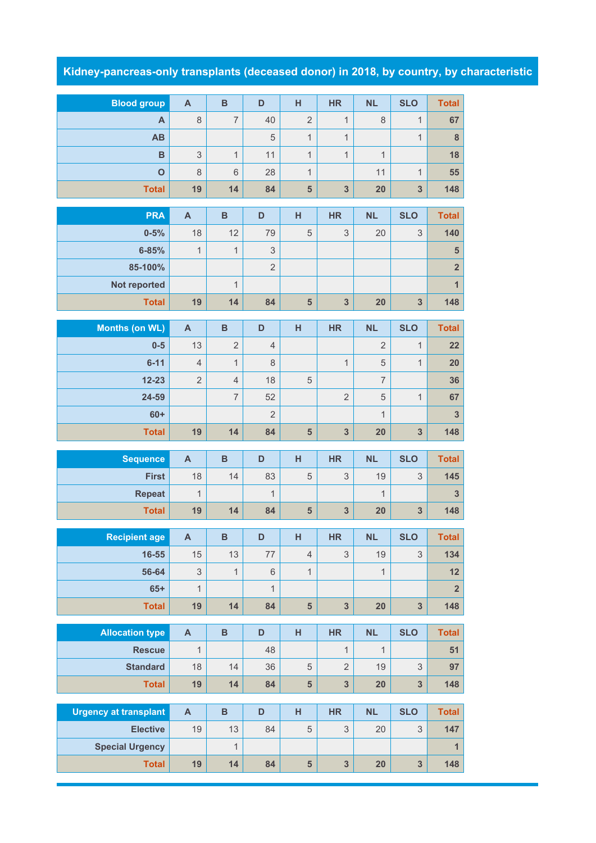## **Kidney-pancreas-only transplants (deceased donor) in 2018, by country, by characteristic**

| <b>Blood group</b>           | $\boldsymbol{\mathsf{A}}$ | $\overline{B}$                 | D                   | H                       | <b>HR</b>                | <b>NL</b>           | <b>SLO</b>              | <b>Total</b>            |
|------------------------------|---------------------------|--------------------------------|---------------------|-------------------------|--------------------------|---------------------|-------------------------|-------------------------|
| A                            | $\,8\,$                   | $\overline{7}$                 | 40                  | $\overline{2}$          | $\mathbf{1}$             | $\,8\,$             | $\mathbf{1}$            | 67                      |
| AB                           |                           |                                | 5                   | $\mathbf{1}$            | $\mathbf{1}$             |                     | $\mathbf{1}$            | $\bf{8}$                |
| B                            | $\mathsf 3$               | $\mathbf{1}$                   | 11                  | $\mathbf{1}$            | $\mathbf{1}$             | $\mathbf{1}$        |                         | 18                      |
| $\overline{O}$               | 8                         | $6\,$                          | 28                  | $\mathbf{1}$            |                          | 11                  | $\mathbf{1}$            | 55                      |
| <b>Total</b>                 | 19                        | 14                             | 84                  | 5                       | $\overline{\mathbf{3}}$  | 20                  | 3                       | 148                     |
| <b>PRA</b>                   | $\mathsf{A}$              | $\overline{B}$                 | D                   | H                       | <b>HR</b>                | <b>NL</b>           | <b>SLO</b>              | <b>Total</b>            |
| $0 - 5%$                     | 18                        | 12                             | 79                  | 5                       | $\mathfrak{Z}$           | 20                  | 3                       | 140                     |
| $6 - 85%$                    | $\mathbf{1}$              | $\mathbf{1}$                   | $\mathsf 3$         |                         |                          |                     |                         | ${\bf 5}$               |
| 85-100%                      |                           |                                | $\overline{2}$      |                         |                          |                     |                         | $\overline{\mathbf{2}}$ |
| Not reported                 |                           | $\mathbf{1}$                   |                     |                         |                          |                     |                         | $\overline{1}$          |
| <b>Total</b>                 | 19                        | 14                             | 84                  | $\overline{\mathbf{5}}$ | $\overline{\mathbf{3}}$  | 20                  | $\overline{\mathbf{3}}$ | 148                     |
|                              |                           |                                |                     |                         |                          |                     |                         |                         |
| <b>Months (on WL)</b>        | $\mathsf{A}$              | $\, {\bf B}$                   | D                   | H                       | <b>HR</b>                | <b>NL</b>           | <b>SLO</b>              | <b>Total</b>            |
| $0-5$<br>$6 - 11$            | 13<br>$\overline{4}$      | $\overline{2}$<br>$\mathbf{1}$ | $\overline{4}$<br>8 |                         |                          | $\overline{2}$<br>5 | $\mathbf{1}$            | 22                      |
| $12 - 23$                    | $\overline{2}$            | $\overline{4}$                 | 18                  |                         | $\mathbf{1}$             | $\overline{7}$      | $\mathbf{1}$            | 20<br>36                |
| 24-59                        |                           | $\overline{7}$                 | 52                  | $\sqrt{5}$              | $\overline{2}$           | $\sqrt{5}$          |                         | 67                      |
| $60+$                        |                           |                                | $\overline{2}$      |                         |                          | $\mathbf{1}$        | $\mathbf 1$             | 3                       |
| <b>Total</b>                 | 19                        | 14                             | 84                  | 5                       | $\overline{\mathbf{3}}$  | 20                  | 3                       | 148                     |
|                              |                           |                                |                     |                         |                          |                     |                         |                         |
| <b>Sequence</b>              | $\mathbf{A}$              | $\overline{B}$                 | D                   | $\overline{H}$          | <b>HR</b>                | <b>NL</b>           | <b>SLO</b>              | <b>Total</b>            |
|                              |                           |                                |                     |                         |                          |                     |                         |                         |
| <b>First</b>                 | 18                        | 14                             | 83                  | 5                       | 3                        | 19                  | 3                       | 145                     |
| <b>Repeat</b>                | 1                         |                                | $\mathbf{1}$        |                         |                          | $\mathbf{1}$        |                         | $\mathbf{3}$            |
| <b>Total</b>                 | 19                        | 14                             | 84                  | 5                       | $\overline{\mathbf{3}}$  | 20                  | $\overline{\mathbf{3}}$ | 148                     |
|                              |                           | B                              |                     |                         |                          |                     |                         |                         |
| Recipient age<br>$16 - 55$   | $\mathsf{A}$<br>15        | 13                             | D<br>77             | H<br>$\overline{4}$     | <b>HR</b><br>$\mathsf 3$ | <b>NL</b><br>19     | <b>SLO</b><br>3         | <b>Total</b><br>134     |
| 56-64                        | $\ensuremath{\mathsf{3}}$ | $\mathbf{1}$                   | 6                   | $\mathbf{1}$            |                          | $\mathbf{1}$        |                         | 12                      |
| $65+$                        | 1                         |                                | 1                   |                         |                          |                     |                         | $\overline{\mathbf{2}}$ |
| <b>Total</b>                 | 19                        | 14                             | 84                  | $\overline{\mathbf{5}}$ | $\overline{\mathbf{3}}$  | 20                  | 3                       | 148                     |
|                              |                           |                                |                     |                         |                          |                     |                         |                         |
| <b>Allocation type</b>       | $\boldsymbol{\mathsf{A}}$ | $\, {\bf B}$                   | D                   | H                       | <b>HR</b>                | <b>NL</b>           | <b>SLO</b>              | <b>Total</b>            |
| <b>Rescue</b>                | 1                         |                                | 48                  |                         | 1                        | $\mathbf{1}$        |                         | 51                      |
| <b>Standard</b>              | 18                        | 14                             | 36                  | $\mathbf 5$             | $\overline{2}$           | 19                  | $\mathsf 3$             | 97                      |
| <b>Total</b>                 | 19                        | 14                             | 84                  | $\overline{\mathbf{5}}$ | $\overline{\mathbf{3}}$  | 20                  | $\overline{\mathbf{3}}$ | 148                     |
| <b>Urgency at transplant</b> | $\mathbf{A}$              | $\, {\bf B}$                   | D                   | H                       | <b>HR</b>                | <b>NL</b>           | <b>SLO</b>              | <b>Total</b>            |
| <b>Elective</b>              | 19                        | 13                             | 84                  | $\mathbf 5$             | $\mathfrak{S}$           | 20                  | 3                       | 147                     |
| <b>Special Urgency</b>       |                           | $\mathbf{1}$                   |                     |                         | $\overline{\mathbf{3}}$  |                     |                         | $\mathbf{1}$<br>148     |